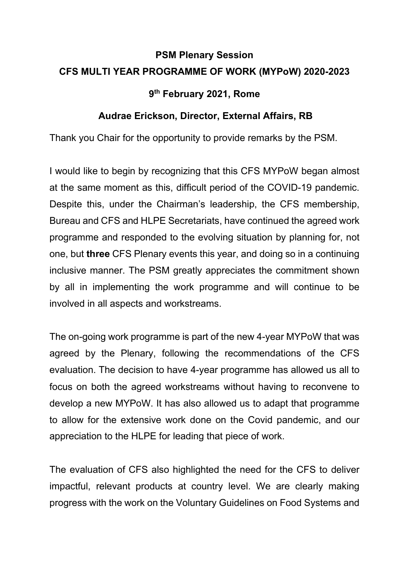## **PSM Plenary Session CFS MULTI YEAR PROGRAMME OF WORK (MYPoW) 2020-2023**

## **9th February 2021, Rome**

## **Audrae Erickson, Director, External Affairs, RB**

Thank you Chair for the opportunity to provide remarks by the PSM.

I would like to begin by recognizing that this CFS MYPoW began almost at the same moment as this, difficult period of the COVID-19 pandemic. Despite this, under the Chairman's leadership, the CFS membership, Bureau and CFS and HLPE Secretariats, have continued the agreed work programme and responded to the evolving situation by planning for, not one, but **three** CFS Plenary events this year, and doing so in a continuing inclusive manner. The PSM greatly appreciates the commitment shown by all in implementing the work programme and will continue to be involved in all aspects and workstreams.

The on-going work programme is part of the new 4-year MYPoW that was agreed by the Plenary, following the recommendations of the CFS evaluation. The decision to have 4-year programme has allowed us all to focus on both the agreed workstreams without having to reconvene to develop a new MYPoW. It has also allowed us to adapt that programme to allow for the extensive work done on the Covid pandemic, and our appreciation to the HLPE for leading that piece of work.

The evaluation of CFS also highlighted the need for the CFS to deliver impactful, relevant products at country level. We are clearly making progress with the work on the Voluntary Guidelines on Food Systems and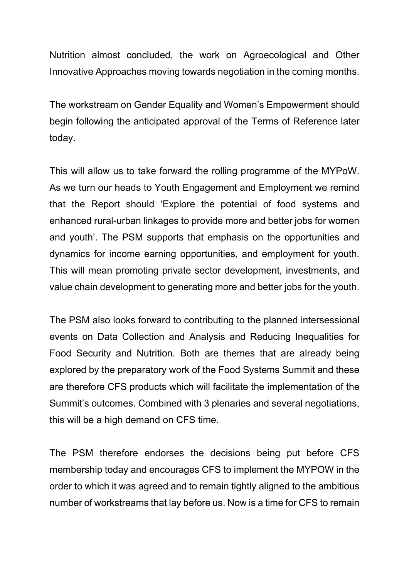Nutrition almost concluded, the work on Agroecological and Other Innovative Approaches moving towards negotiation in the coming months.

The workstream on Gender Equality and Women's Empowerment should begin following the anticipated approval of the Terms of Reference later today.

This will allow us to take forward the rolling programme of the MYPoW. As we turn our heads to Youth Engagement and Employment we remind that the Report should 'Explore the potential of food systems and enhanced rural-urban linkages to provide more and better jobs for women and youth'. The PSM supports that emphasis on the opportunities and dynamics for income earning opportunities, and employment for youth. This will mean promoting private sector development, investments, and value chain development to generating more and better jobs for the youth.

The PSM also looks forward to contributing to the planned intersessional events on Data Collection and Analysis and Reducing Inequalities for Food Security and Nutrition. Both are themes that are already being explored by the preparatory work of the Food Systems Summit and these are therefore CFS products which will facilitate the implementation of the Summit's outcomes. Combined with 3 plenaries and several negotiations, this will be a high demand on CFS time.

The PSM therefore endorses the decisions being put before CFS membership today and encourages CFS to implement the MYPOW in the order to which it was agreed and to remain tightly aligned to the ambitious number of workstreams that lay before us. Now is a time for CFS to remain